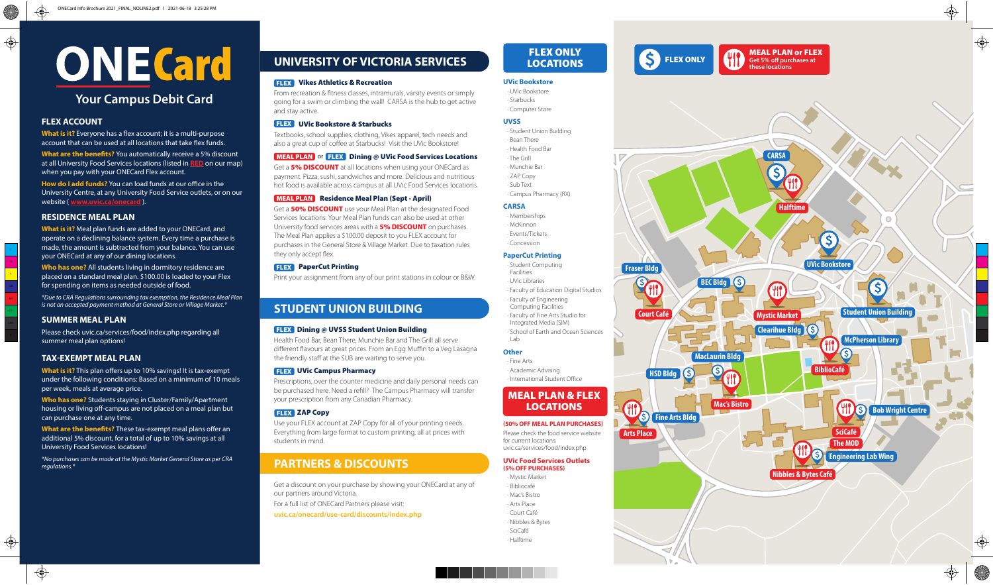#### **FLEX ACCOUNT**

**What is it?** Everyone has a flex account; it is a multi-purpose account that can be used at all locations that take flex funds.

**What are the benefits?** You automatically receive a 5% discount at all University Food Services locations (listed in **RED** on our map) when you pay with your ONECard Flex account.

**How do I add funds?** You can load funds at our office in the University Centre, at any University Food Service outlets, or on our website ( **www.uvic.ca/onecard** ).

#### **RESIDENCE MEAL PLAN**

**What is it?** Meal plan funds are added to your ONECard, and operate on a declining balance system. Every time a purchase is made, the amount is subtracted from your balance. You can use your ONECard at any of our dining locations.

**What is it?** This plan offers up to 10% savings! It is tax-exempt under the following conditions: Based on a minimum of 10 meals per week, meals at average price.

**Who has one?** All students living in dormitory residence are placed on a standard meal plan. \$100.00 is loaded to your Flex for spending on items as needed outside of food.

**What are the benefits?** These tax-exempt meal plans offer an additional 5% discount, for a total of up to 10% savings at all University Food Services locations!

*\*Due to CRA Regulations surrounding tax exemption, the Residence Meal Plan is not an accepted payment method at General Store or Village Market.\**

Textbooks, school supplies, clothing, Vikes apparel, tech needs and also a great cup of coffee at Starbucks! Visit the UVic Bookstore!

#### **MEAL PLAN** or **FLEX** Dining @ UVic Food Services Locations

#### **SUMMER MEAL PLAN**

Please check uvic.ca/services/food/index.php regarding all summer meal plan options!

#### **TAX-EXEMPT MEAL PLAN**

Get a **5% DISCOUNT** at all locations when using your ONECard as payment. Pizza, sushi, sandwiches and more. Delicious and nutritious hot food is available across campus at all UVic Food Services locations.

#### **MEAL PLAN** Residence Meal Plan (Sept - April)

Get a **50% DISCOUNT** use your Meal Plan at the designated Food Services locations. Your Meal Plan funds can also be used at other University food services areas with a **5% DISCOUNT** on purchases. The Meal Plan applies a \$100.00 deposit to you FLEX account for purchases in the General Store & Village Market. Due to taxation rules they only accept flex.

#### **FLEX** PaperCut Printing

**Who has one?** Students staying in Cluster/Family/Apartment housing or living off-campus are not placed on a meal plan but can purchase one at any time.

*\*No purchases can be made at the Mystic Market General Store as per CRA regulations.\**

# **ONECard**

#### **Your Campus Debit Card**

From recreation & fitness classes, intramurals, varsity events or simply going for a swim or climbing the wall! CARSA is the hub to get active and stay active.

- · Student Computing
- Facilities · UVic Libraries
- · Faculty of Education Digital Studios
- · Faculty of Engineering
- Computing Facilities
- · Faculty of Fine Arts Studio for
- Integrated Media (SIM)
- · School of Earth and Ocean Sciences  $Lah$

#### Vikes Athletics & Recreation FLEX

Print your assignment from any of our print stations in colour or B&W.

#### UVic Bookstore & Starbucks FLEX

Get a discount on your purchase by showing your ONECard at any of our partners around Victoria.

For a full list of ONECard Partners please visit:

**uvic.ca/onecard/use-card/discounts/index.php** 

Health Food Bar, Bean There, Munchie Bar and The Grill all serve different flavours at great prices. From an Egg Muffin to a Veg Lasagna the friendly staff at the SUB are waiting to serve you.

#### **FLEX** UVic Campus Pharmacy

Prescriptions, over the counter medicine and daily personal needs can be purchased here. Need a refill? The Campus Pharmacy will transfer your prescription from any Canadian Pharmacy.

#### **FLEX** ZAP Copy

Use your FLEX account at ZAP Copy for all of your printing needs. Everything from large format to custom printing, all at prices with students in mind.

#### **STUDENT UNION BUILDING**

#### **FLEX** Dining @ UVSS Student Union Building

#### **PARTNERS & DISCOUNTS**

#### **UNIVERSITY OF VICTORIA SERVICES**

**Fraser Bldg**

**Fine Arts Bldg**

 $\left( \xi \right)$ 



**MacLaurin Bldg**

 $\mathbf{S}$ 

**HSD Bldg**

**Arts Place**

**PS** 

**Th** 

**Mac's Bistro**

FLEX ONLY

**BEC Bldg S** 



#### FLEX ONLY LOCATIONS

#### **UVic Bookstore**

- · UVic Bookstore
- · Starbucks · Computer Store

#### **UVSS**

· Student Union Building

- · Bean There
- · Health Food Bar
- · The Grill
- · Munchie Bar
- · ZAP Copy
- · Sub Text
- · Campus Pharmacy (RX)

#### **CARSA**

- · Memberships
- · McKinnon
- · Events/Tickets
- · Concession

#### **PaperCut Printing**

#### **Other**

- · Fine Arts
- · Academic Advising
- · International Student Office

#### **(50% OFF MEAL PLAN PURCHASES)**

Please check the food service website for current locations: uvic.ca/services/food/index.php

#### **UVic Food Services Outlets**

- **(5% OFF PURCHASES)**
- · Mystic Market
- · Bibliocafé
- · Mac's Bistro
- · Arts Place
- · Court Café
- · Nibbles & Bytes
- 
- · SciCafé · Halftime

#### MEAL PLAN & FLEX LOCATIONS